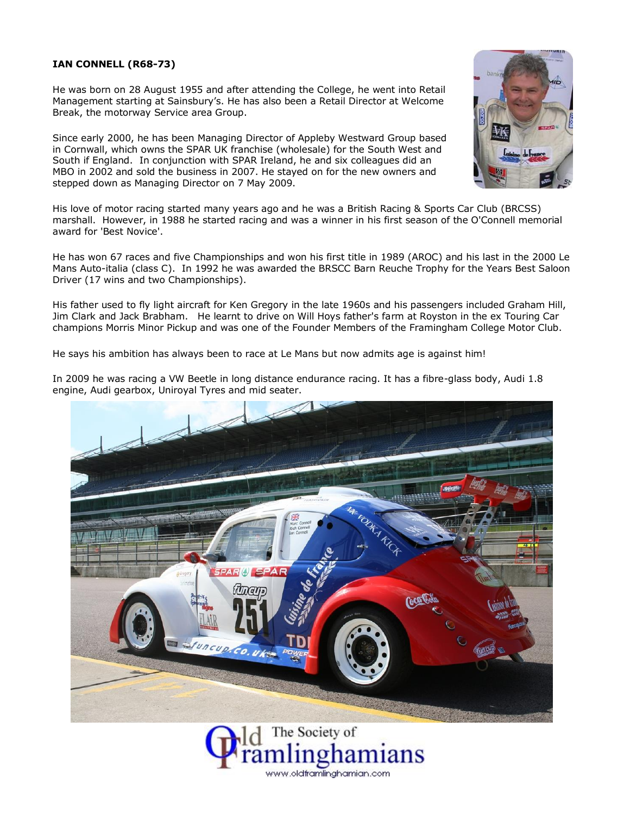## **IAN CONNELL (R68-73)**

He was born on 28 August 1955 and after attending the College, he went into Retail Management starting at Sainsbury's. He has also been a Retail Director at Welcome Break, the motorway Service area Group.

Since early 2000, he has been Managing Director of Appleby Westward Group based in Cornwall, which owns the SPAR UK franchise (wholesale) for the South West and South if England. In conjunction with SPAR Ireland, he and six colleagues did an MBO in 2002 and sold the business in 2007. He stayed on for the new owners and stepped down as Managing Director on 7 May 2009.



His love of motor racing started many years ago and he was a British Racing & Sports Car Club (BRCSS) marshall. However, in 1988 he started racing and was a winner in his first season of the O'Connell memorial award for 'Best Novice'.

He has won 67 races and five Championships and won his first title in 1989 (AROC) and his last in the 2000 Le Mans Auto-italia (class C). In 1992 he was awarded the BRSCC Barn Reuche Trophy for the Years Best Saloon Driver (17 wins and two Championships).

His father used to fly light aircraft for Ken Gregory in the late 1960s and his passengers included Graham Hill, Jim Clark and Jack Brabham. He learnt to drive on Will Hoys father's farm at Royston in the ex Touring Car champions Morris Minor Pickup and was one of the Founder Members of the Framingham College Motor Club.

He says his ambition has always been to race at Le Mans but now admits age is against him!



In 2009 he was racing a VW Beetle in long distance endurance racing. It has a fibre-glass body, Audi 1.8 engine, Audi gearbox, Uniroyal Tyres and mid seater.

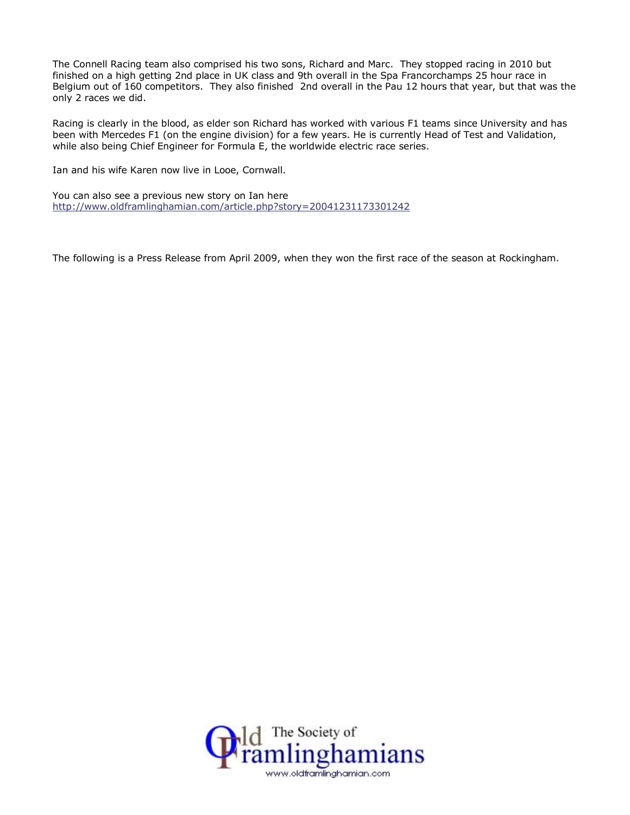The Connell Racing team also comprised his two sons, Richard and Marc. They stopped racing in 2010 but finished on a high getting 2nd place in UK class and 9th overall in the Spa Francorchamps 25 hour race in Belgium out of 160 competitors. They also finished 2nd overall in the Pau 12 hours that year, but that was the only 2 races we did.

Racing is clearly in the blood, as elder son Richard has worked with various F1 teams since University and has been with Mercedes F1 (on the engine division) for a few years. He is currently Head of Test and Validation, while also being Chief Engineer for Formula E, the worldwide electric race series.

Ian and his wife Karen now live in Looe, Cornwall.

You can also see a previous new story on Ian here <http://www.oldframlinghamian.com/article.php?story=20041231173301242>

The following is a Press Release from April 2009, when they won the first race of the season at Rockingham.

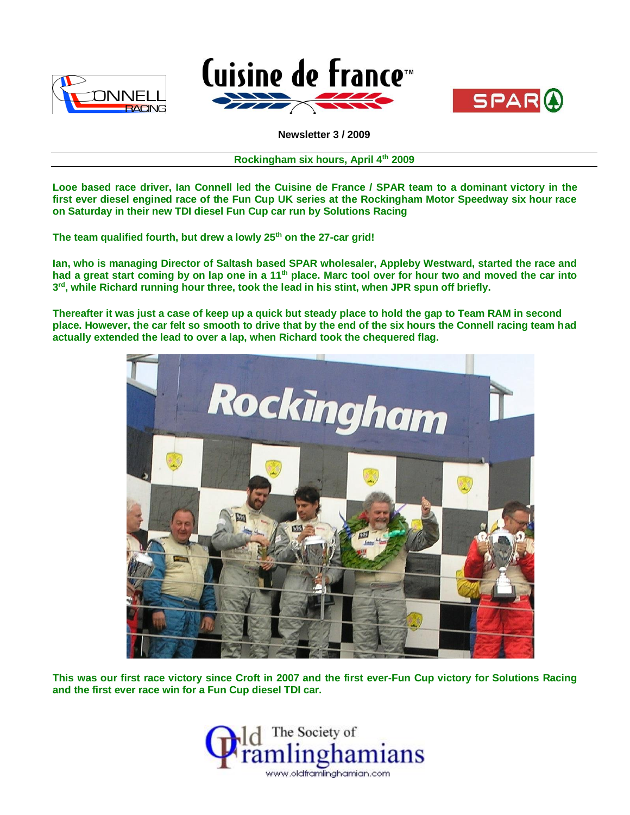





**Newsletter 3 / 2009**

**Rockingham six hours, April 4th 2009**

**Looe based race driver, Ian Connell led the Cuisine de France / SPAR team to a dominant victory in the first ever diesel engined race of the Fun Cup UK series at the Rockingham Motor Speedway six hour race on Saturday in their new TDI diesel Fun Cup car run by Solutions Racing**

**The team qualified fourth, but drew a lowly 25th on the 27-car grid!**

**Ian, who is managing Director of Saltash based SPAR wholesaler, Appleby Westward, started the race and had a great start coming by on lap one in a 11th place. Marc tool over for hour two and moved the car into 3 rd, while Richard running hour three, took the lead in his stint, when JPR spun off briefly.**

**Thereafter it was just a case of keep up a quick but steady place to hold the gap to Team RAM in second place. However, the car felt so smooth to drive that by the end of the six hours the Connell racing team had actually extended the lead to over a lap, when Richard took the chequered flag.**



**This was our first race victory since Croft in 2007 and the first ever-Fun Cup victory for Solutions Racing and the first ever race win for a Fun Cup diesel TDI car.**